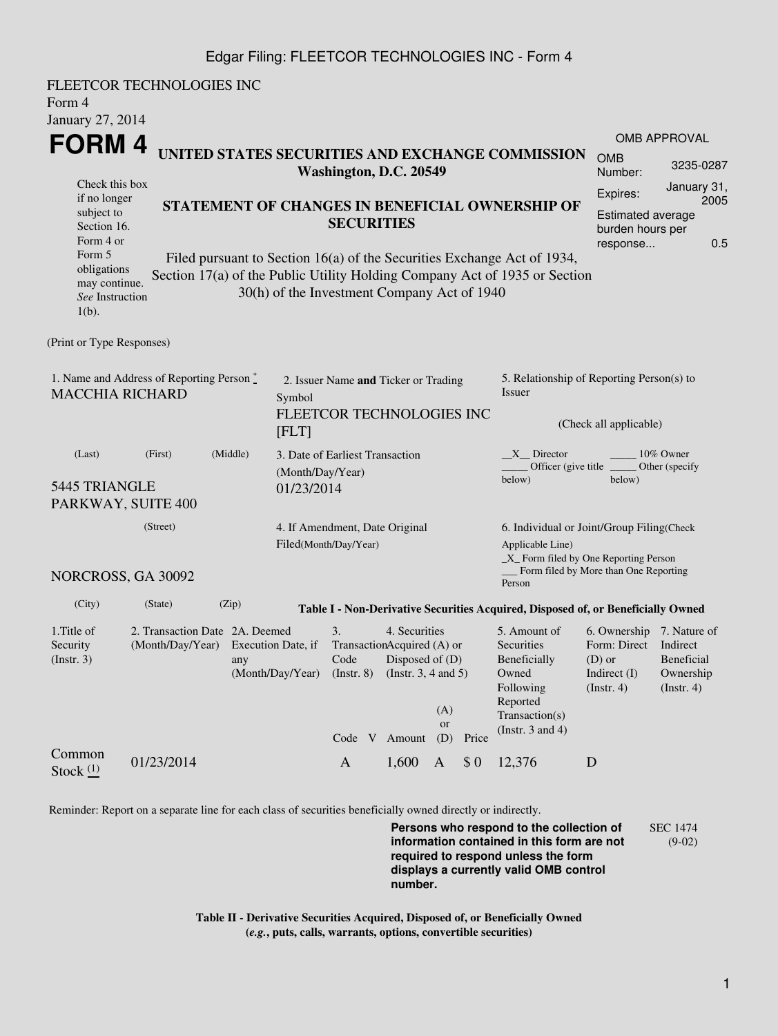## Edgar Filing: FLEETCOR TECHNOLOGIES INC - Form 4

| Form 4<br>January 27, 2014                                                                                                                                                                                                                                                                                                                                                                                                                                                                                                                                                                                                     | FLEETCOR TECHNOLOGIES INC                                             |                         |                                                                                      |                                                              |                         |       |                                                                                                                                                    |                                                                                                      |                                             |  |  |
|--------------------------------------------------------------------------------------------------------------------------------------------------------------------------------------------------------------------------------------------------------------------------------------------------------------------------------------------------------------------------------------------------------------------------------------------------------------------------------------------------------------------------------------------------------------------------------------------------------------------------------|-----------------------------------------------------------------------|-------------------------|--------------------------------------------------------------------------------------|--------------------------------------------------------------|-------------------------|-------|----------------------------------------------------------------------------------------------------------------------------------------------------|------------------------------------------------------------------------------------------------------|---------------------------------------------|--|--|
| OMB APPROVAL<br>FORM 4<br>UNITED STATES SECURITIES AND EXCHANGE COMMISSION<br><b>OMB</b><br>Washington, D.C. 20549<br>Number:<br>Check this box<br>Expires:<br>if no longer<br>STATEMENT OF CHANGES IN BENEFICIAL OWNERSHIP OF<br>subject to<br><b>Estimated average</b><br><b>SECURITIES</b><br>Section 16.<br>burden hours per<br>Form 4 or<br>response<br>Form 5<br>Filed pursuant to Section 16(a) of the Securities Exchange Act of 1934,<br>obligations<br>Section 17(a) of the Public Utility Holding Company Act of 1935 or Section<br>may continue.<br>30(h) of the Investment Company Act of 1940<br>See Instruction |                                                                       |                         |                                                                                      |                                                              |                         |       |                                                                                                                                                    |                                                                                                      | 3235-0287<br>January 31,<br>2005<br>0.5     |  |  |
| $1(b)$ .<br>(Print or Type Responses)                                                                                                                                                                                                                                                                                                                                                                                                                                                                                                                                                                                          |                                                                       |                         |                                                                                      |                                                              |                         |       |                                                                                                                                                    |                                                                                                      |                                             |  |  |
| 1. Name and Address of Reporting Person*<br><b>MACCHIA RICHARD</b>                                                                                                                                                                                                                                                                                                                                                                                                                                                                                                                                                             |                                                                       |                         | 2. Issuer Name and Ticker or Trading<br>Symbol<br>FLEETCOR TECHNOLOGIES INC<br>[FLT] |                                                              |                         |       | 5. Relationship of Reporting Person(s) to<br>Issuer<br>(Check all applicable)                                                                      |                                                                                                      |                                             |  |  |
| (Middle)<br>(Last)<br>(First)<br>5445 TRIANGLE<br>PARKWAY, SUITE 400                                                                                                                                                                                                                                                                                                                                                                                                                                                                                                                                                           |                                                                       |                         | 3. Date of Earliest Transaction<br>(Month/Day/Year)<br>01/23/2014                    |                                                              |                         |       | 10% Owner<br>X Director<br>Officer (give title<br>Other (specify<br>below)<br>below)                                                               |                                                                                                      |                                             |  |  |
| (Street)<br>4. If Amendment, Date Original<br>Filed(Month/Day/Year)<br>NORCROSS, GA 30092                                                                                                                                                                                                                                                                                                                                                                                                                                                                                                                                      |                                                                       |                         |                                                                                      |                                                              |                         |       | 6. Individual or Joint/Group Filing(Check<br>Applicable Line)<br>$\_X$ Form filed by One Reporting Person<br>Form filed by More than One Reporting |                                                                                                      |                                             |  |  |
| (City)                                                                                                                                                                                                                                                                                                                                                                                                                                                                                                                                                                                                                         | (State)                                                               | (Zip)                   |                                                                                      |                                                              |                         |       | Person<br>Table I - Non-Derivative Securities Acquired, Disposed of, or Beneficially Owned                                                         |                                                                                                      |                                             |  |  |
| 1. Title of<br>Security<br>(Insert. 3)                                                                                                                                                                                                                                                                                                                                                                                                                                                                                                                                                                                         | 2. Transaction Date 2A. Deemed<br>(Month/Day/Year) Execution Date, if | any<br>(Month/Day/Year) | 3.<br>TransactionAcquired (A) or<br>Code<br>$($ Instr. $8)$<br>Code V Amount         | 4. Securities<br>Disposed of (D)<br>(Instr. $3, 4$ and $5$ ) | (A)<br><b>or</b><br>(D) | Price | 5. Amount of<br>Securities<br>Beneficially<br>Owned<br>Following<br>Reported<br>Transaction(s)<br>(Instr. $3$ and $4$ )                            | 6. Ownership 7. Nature of<br>Form: Direct Indirect<br>$(D)$ or<br>Indirect $(I)$<br>$($ Instr. 4 $)$ | Beneficial<br>Ownership<br>$($ Instr. 4 $)$ |  |  |
| Common<br>Stock $(1)$                                                                                                                                                                                                                                                                                                                                                                                                                                                                                                                                                                                                          | 01/23/2014                                                            |                         | $\mathbf{A}$                                                                         | 1,600                                                        | $\mathbf{A}$            | \$0   | 12,376                                                                                                                                             | D                                                                                                    |                                             |  |  |

Reminder: Report on a separate line for each class of securities beneficially owned directly or indirectly.

**Persons who respond to the collection of information contained in this form are not required to respond unless the form displays a currently valid OMB control number.** SEC 1474 (9-02)

**Table II - Derivative Securities Acquired, Disposed of, or Beneficially Owned (***e.g.***, puts, calls, warrants, options, convertible securities)**